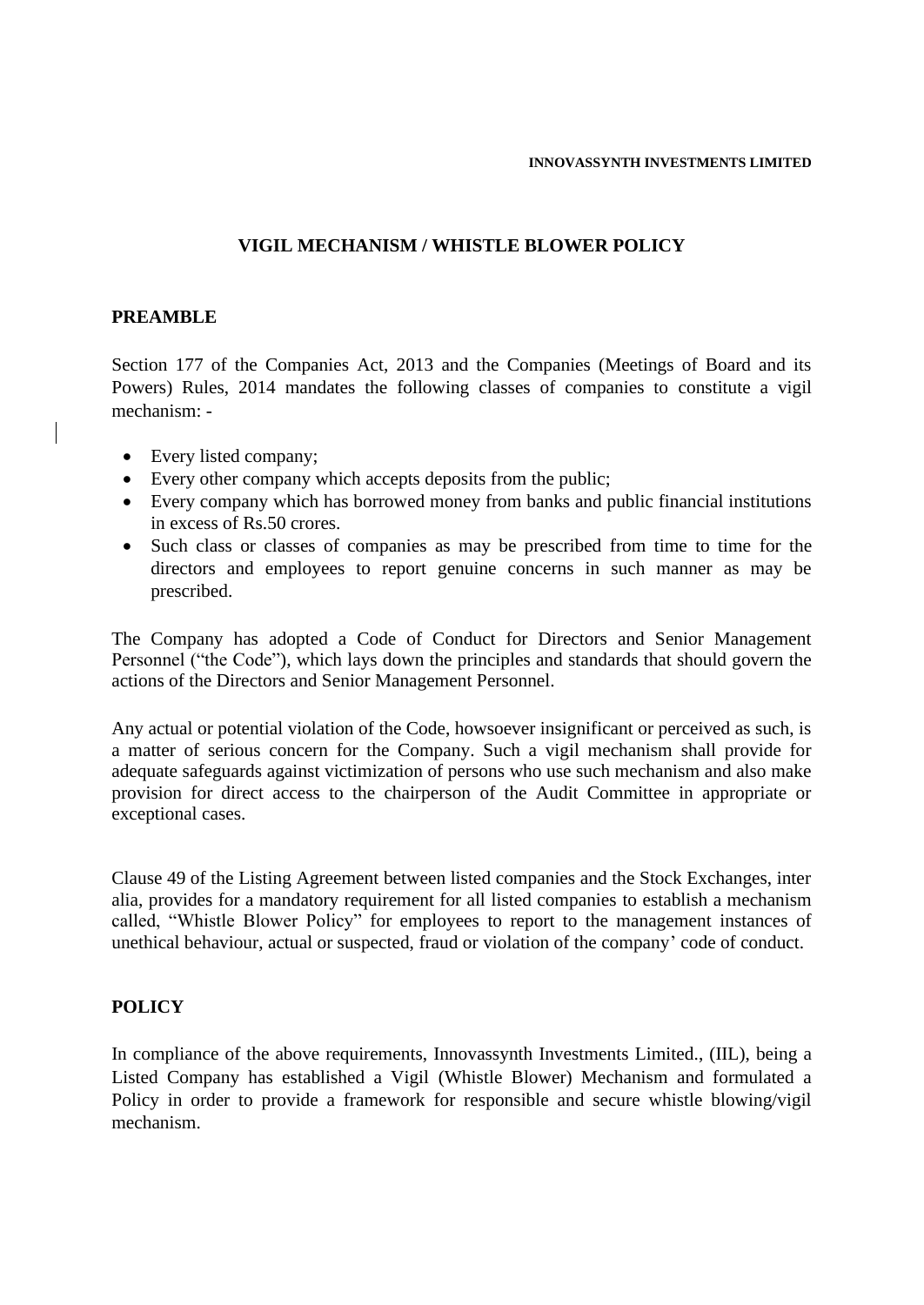## **VIGIL MECHANISM / WHISTLE BLOWER POLICY**

#### **PREAMBLE**

Section 177 of the Companies Act, 2013 and the Companies (Meetings of Board and its Powers) Rules, 2014 mandates the following classes of companies to constitute a vigil mechanism: -

- Every listed company;
- Every other company which accepts deposits from the public;
- Every company which has borrowed money from banks and public financial institutions in excess of Rs.50 crores.
- Such class or classes of companies as may be prescribed from time to time for the directors and employees to report genuine concerns in such manner as may be prescribed.

The Company has adopted a Code of Conduct for Directors and Senior Management Personnel ("the Code"), which lays down the principles and standards that should govern the actions of the Directors and Senior Management Personnel.

Any actual or potential violation of the Code, howsoever insignificant or perceived as such, is a matter of serious concern for the Company. Such a vigil mechanism shall provide for adequate safeguards against victimization of persons who use such mechanism and also make provision for direct access to the chairperson of the Audit Committee in appropriate or exceptional cases.

Clause 49 of the Listing Agreement between listed companies and the Stock Exchanges, inter alia, provides for a mandatory requirement for all listed companies to establish a mechanism called, "Whistle Blower Policy" for employees to report to the management instances of unethical behaviour, actual or suspected, fraud or violation of the company' code of conduct.

#### **POLICY**

In compliance of the above requirements, Innovassynth Investments Limited., (IIL), being a Listed Company has established a Vigil (Whistle Blower) Mechanism and formulated a Policy in order to provide a framework for responsible and secure whistle blowing/vigil mechanism.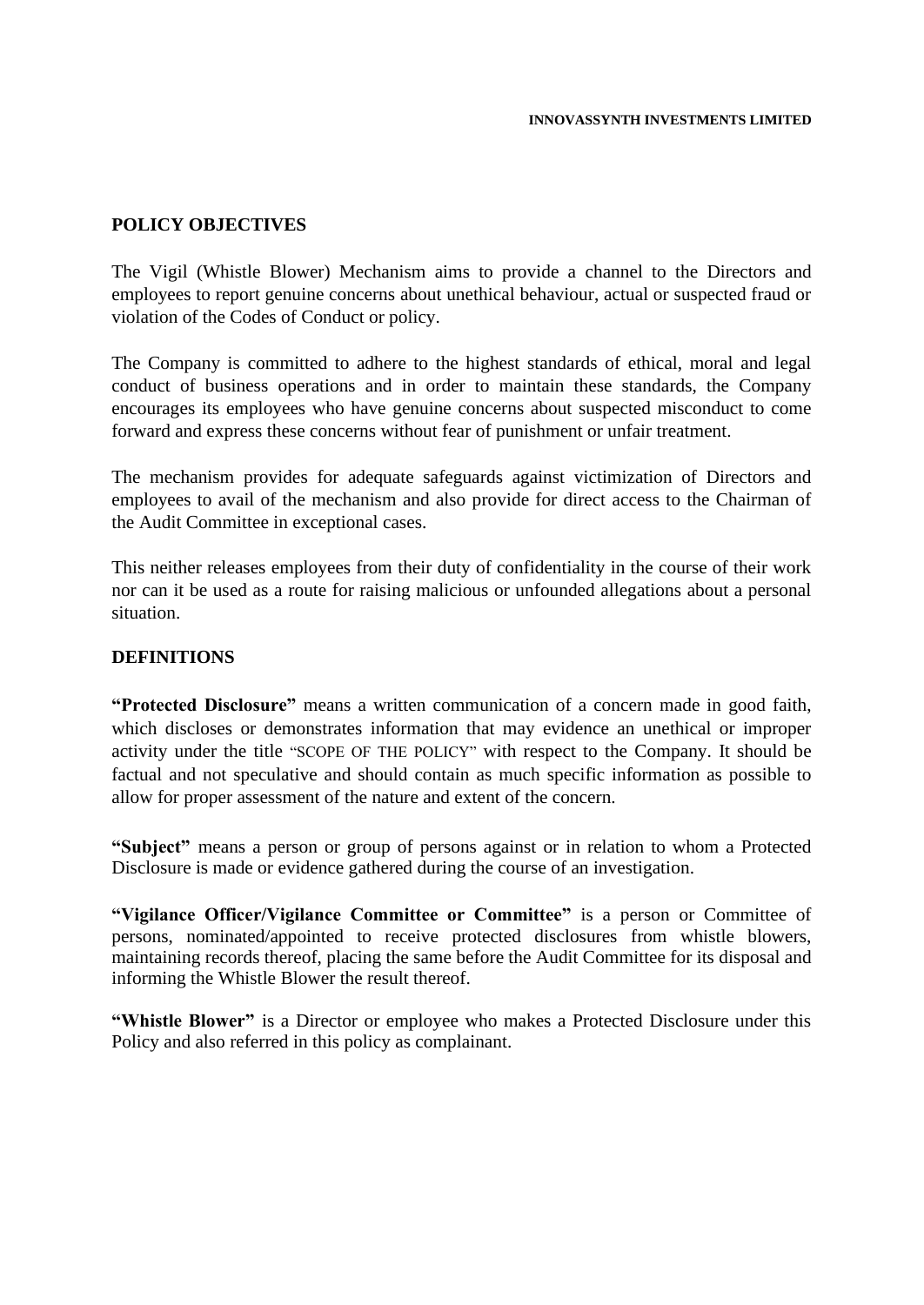#### **POLICY OBJECTIVES**

The Vigil (Whistle Blower) Mechanism aims to provide a channel to the Directors and employees to report genuine concerns about unethical behaviour, actual or suspected fraud or violation of the Codes of Conduct or policy.

The Company is committed to adhere to the highest standards of ethical, moral and legal conduct of business operations and in order to maintain these standards, the Company encourages its employees who have genuine concerns about suspected misconduct to come forward and express these concerns without fear of punishment or unfair treatment.

The mechanism provides for adequate safeguards against victimization of Directors and employees to avail of the mechanism and also provide for direct access to the Chairman of the Audit Committee in exceptional cases.

This neither releases employees from their duty of confidentiality in the course of their work nor can it be used as a route for raising malicious or unfounded allegations about a personal situation.

#### **DEFINITIONS**

**"Protected Disclosure"** means a written communication of a concern made in good faith, which discloses or demonstrates information that may evidence an unethical or improper activity under the title "SCOPE OF THE POLICY" with respect to the Company. It should be factual and not speculative and should contain as much specific information as possible to allow for proper assessment of the nature and extent of the concern.

**"Subject"** means a person or group of persons against or in relation to whom a Protected Disclosure is made or evidence gathered during the course of an investigation.

**"Vigilance Officer/Vigilance Committee or Committee"** is a person or Committee of persons, nominated/appointed to receive protected disclosures from whistle blowers, maintaining records thereof, placing the same before the Audit Committee for its disposal and informing the Whistle Blower the result thereof.

**"Whistle Blower"** is a Director or employee who makes a Protected Disclosure under this Policy and also referred in this policy as complainant.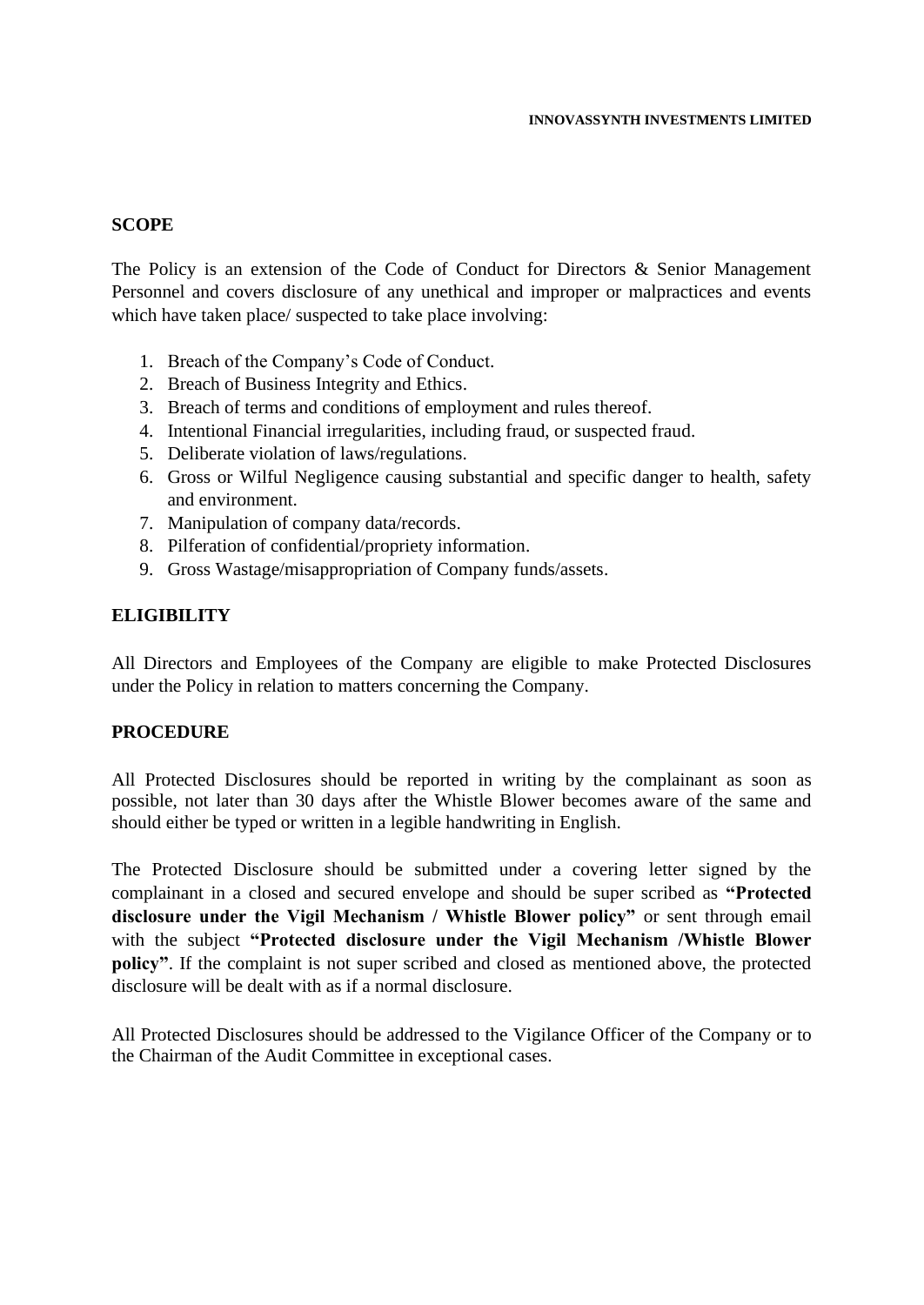#### **SCOPE**

The Policy is an extension of the Code of Conduct for Directors & Senior Management Personnel and covers disclosure of any unethical and improper or malpractices and events which have taken place/ suspected to take place involving:

- 1. Breach of the Company's Code of Conduct.
- 2. Breach of Business Integrity and Ethics.
- 3. Breach of terms and conditions of employment and rules thereof.
- 4. Intentional Financial irregularities, including fraud, or suspected fraud.
- 5. Deliberate violation of laws/regulations.
- 6. Gross or Wilful Negligence causing substantial and specific danger to health, safety and environment.
- 7. Manipulation of company data/records.
- 8. Pilferation of confidential/propriety information.
- 9. Gross Wastage/misappropriation of Company funds/assets.

## **ELIGIBILITY**

All Directors and Employees of the Company are eligible to make Protected Disclosures under the Policy in relation to matters concerning the Company.

#### **PROCEDURE**

All Protected Disclosures should be reported in writing by the complainant as soon as possible, not later than 30 days after the Whistle Blower becomes aware of the same and should either be typed or written in a legible handwriting in English.

The Protected Disclosure should be submitted under a covering letter signed by the complainant in a closed and secured envelope and should be super scribed as **"Protected disclosure under the Vigil Mechanism / Whistle Blower policy"** or sent through email with the subject **"Protected disclosure under the Vigil Mechanism /Whistle Blower policy"**. If the complaint is not super scribed and closed as mentioned above, the protected disclosure will be dealt with as if a normal disclosure.

All Protected Disclosures should be addressed to the Vigilance Officer of the Company or to the Chairman of the Audit Committee in exceptional cases.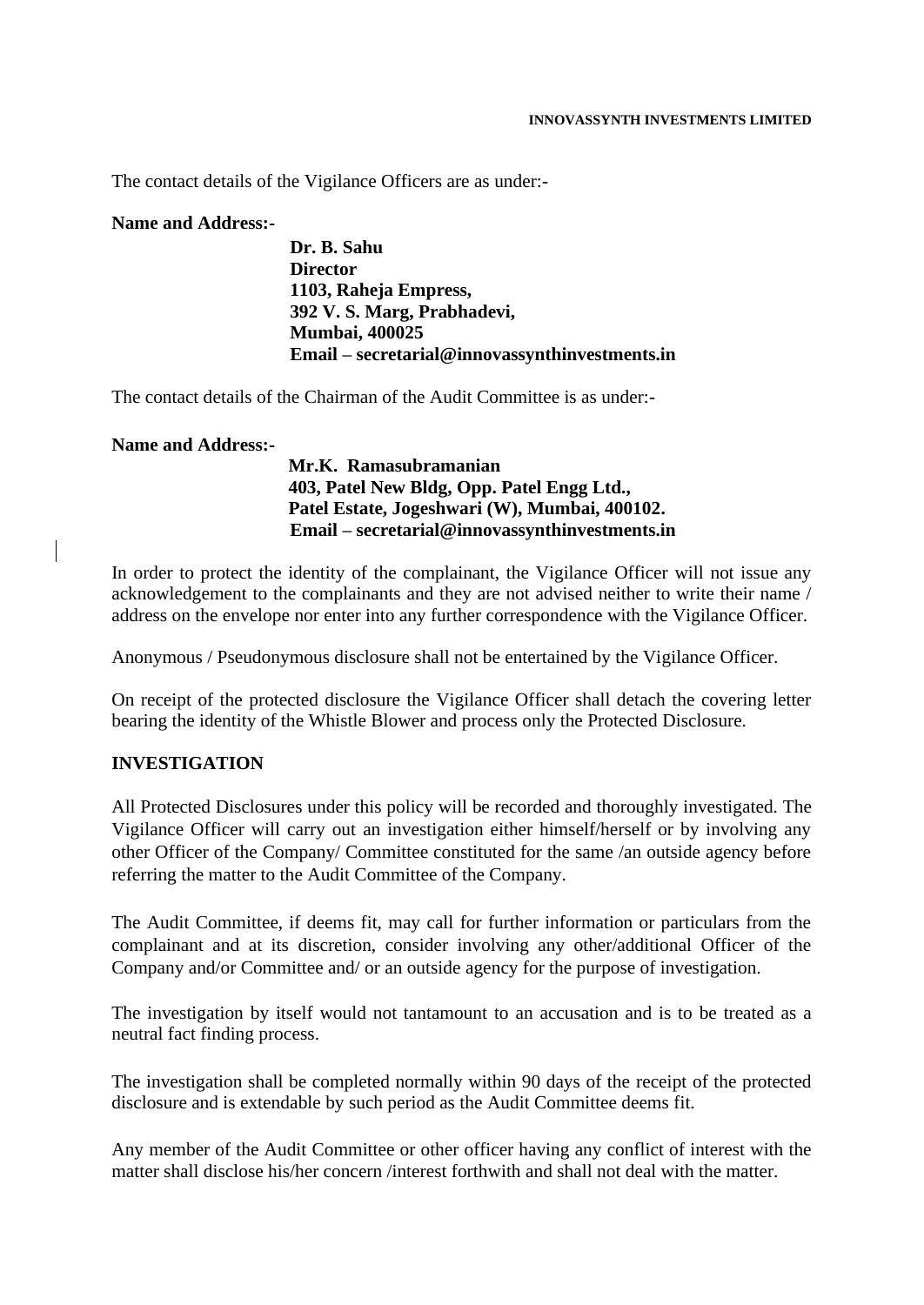The contact details of the Vigilance Officers are as under:-

#### **Name and Address:-**

**Dr. B. Sahu Director 1103, Raheja Empress, 392 V. S. Marg, Prabhadevi, Mumbai, 400025 Email – secretarial@innovassynthinvestments.in** 

The contact details of the Chairman of the Audit Committee is as under:-

#### **Name and Address:-**

**Mr.K. Ramasubramanian 403, Patel New Bldg, Opp. Patel Engg Ltd., Patel Estate, Jogeshwari (W), Mumbai, 400102. Email – secretarial@innovassynthinvestments.in** 

In order to protect the identity of the complainant, the Vigilance Officer will not issue any acknowledgement to the complainants and they are not advised neither to write their name / address on the envelope nor enter into any further correspondence with the Vigilance Officer.

Anonymous / Pseudonymous disclosure shall not be entertained by the Vigilance Officer.

On receipt of the protected disclosure the Vigilance Officer shall detach the covering letter bearing the identity of the Whistle Blower and process only the Protected Disclosure.

#### **INVESTIGATION**

All Protected Disclosures under this policy will be recorded and thoroughly investigated. The Vigilance Officer will carry out an investigation either himself/herself or by involving any other Officer of the Company/ Committee constituted for the same /an outside agency before referring the matter to the Audit Committee of the Company.

The Audit Committee, if deems fit, may call for further information or particulars from the complainant and at its discretion, consider involving any other/additional Officer of the Company and/or Committee and/ or an outside agency for the purpose of investigation.

The investigation by itself would not tantamount to an accusation and is to be treated as a neutral fact finding process.

The investigation shall be completed normally within 90 days of the receipt of the protected disclosure and is extendable by such period as the Audit Committee deems fit.

Any member of the Audit Committee or other officer having any conflict of interest with the matter shall disclose his/her concern /interest forthwith and shall not deal with the matter.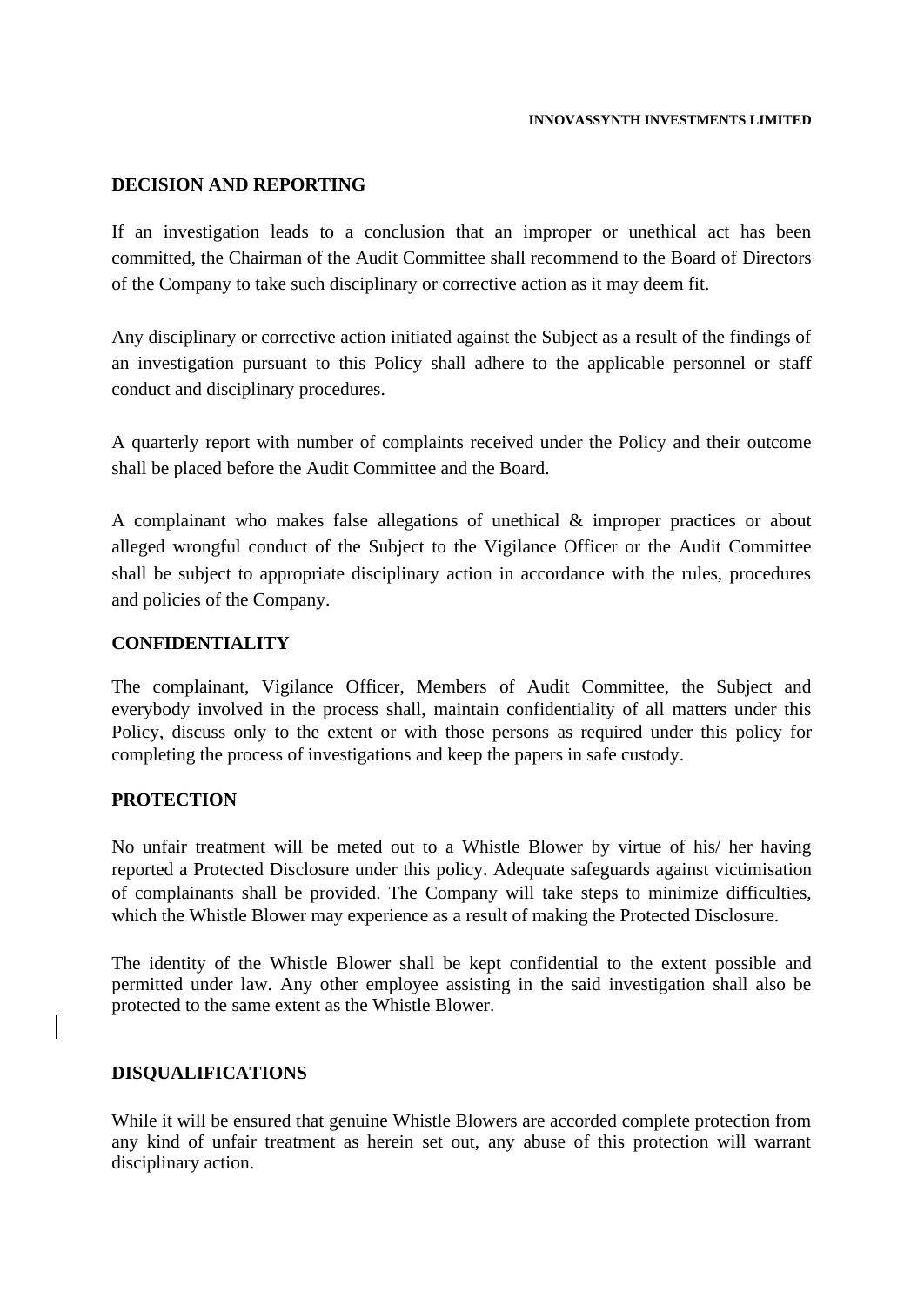## **DECISION AND REPORTING**

If an investigation leads to a conclusion that an improper or unethical act has been committed, the Chairman of the Audit Committee shall recommend to the Board of Directors of the Company to take such disciplinary or corrective action as it may deem fit.

Any disciplinary or corrective action initiated against the Subject as a result of the findings of an investigation pursuant to this Policy shall adhere to the applicable personnel or staff conduct and disciplinary procedures.

A quarterly report with number of complaints received under the Policy and their outcome shall be placed before the Audit Committee and the Board.

A complainant who makes false allegations of unethical & improper practices or about alleged wrongful conduct of the Subject to the Vigilance Officer or the Audit Committee shall be subject to appropriate disciplinary action in accordance with the rules, procedures and policies of the Company.

#### **CONFIDENTIALITY**

The complainant, Vigilance Officer, Members of Audit Committee, the Subject and everybody involved in the process shall, maintain confidentiality of all matters under this Policy, discuss only to the extent or with those persons as required under this policy for completing the process of investigations and keep the papers in safe custody.

## **PROTECTION**

No unfair treatment will be meted out to a Whistle Blower by virtue of his/ her having reported a Protected Disclosure under this policy. Adequate safeguards against victimisation of complainants shall be provided. The Company will take steps to minimize difficulties, which the Whistle Blower may experience as a result of making the Protected Disclosure.

The identity of the Whistle Blower shall be kept confidential to the extent possible and permitted under law. Any other employee assisting in the said investigation shall also be protected to the same extent as the Whistle Blower.

#### **DISQUALIFICATIONS**

While it will be ensured that genuine Whistle Blowers are accorded complete protection from any kind of unfair treatment as herein set out, any abuse of this protection will warrant disciplinary action.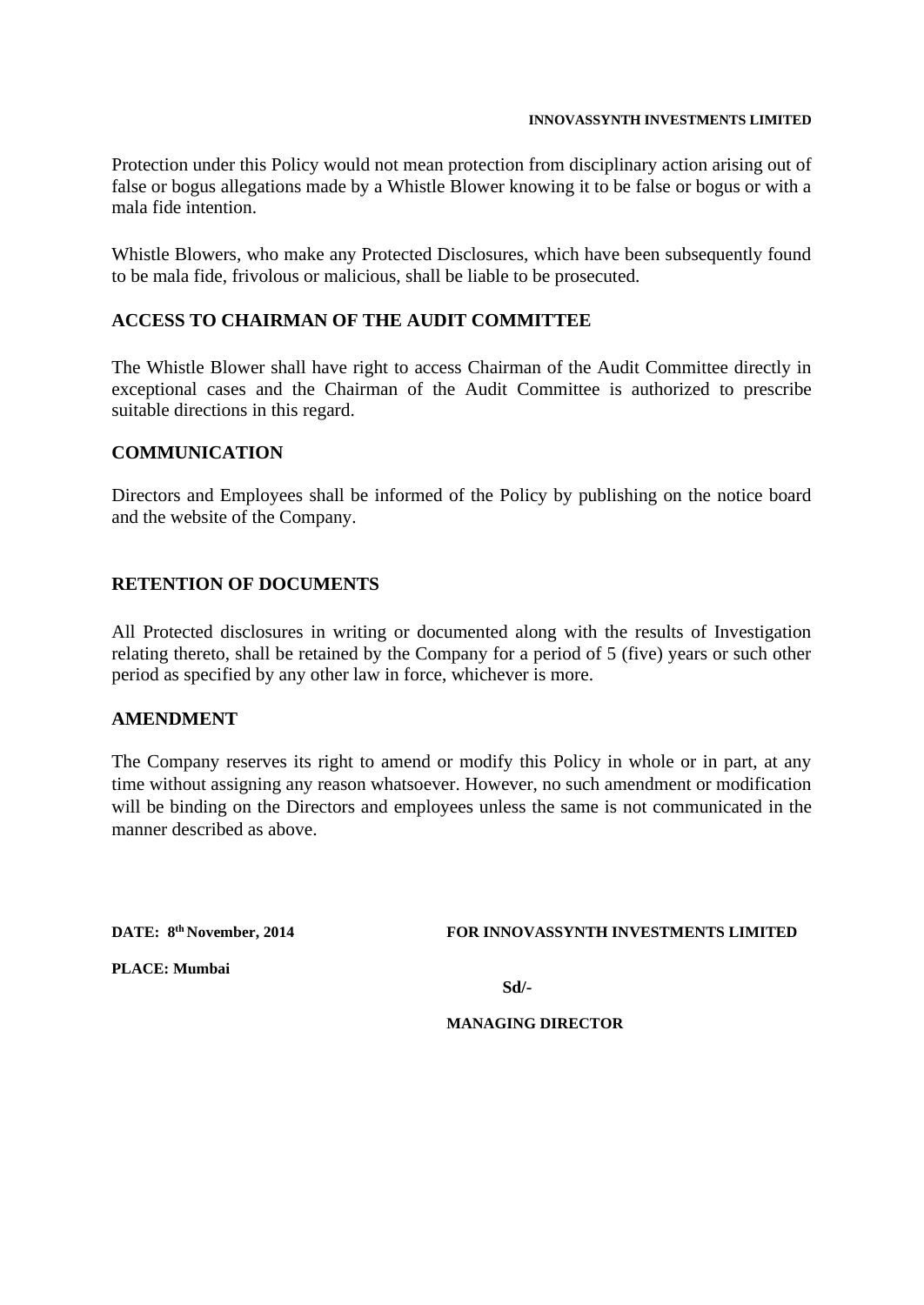#### **INNOVASSYNTH INVESTMENTS LIMITED**

Protection under this Policy would not mean protection from disciplinary action arising out of false or bogus allegations made by a Whistle Blower knowing it to be false or bogus or with a mala fide intention.

Whistle Blowers, who make any Protected Disclosures, which have been subsequently found to be mala fide, frivolous or malicious, shall be liable to be prosecuted.

# **ACCESS TO CHAIRMAN OF THE AUDIT COMMITTEE**

The Whistle Blower shall have right to access Chairman of the Audit Committee directly in exceptional cases and the Chairman of the Audit Committee is authorized to prescribe suitable directions in this regard.

## **COMMUNICATION**

Directors and Employees shall be informed of the Policy by publishing on the notice board and the website of the Company.

## **RETENTION OF DOCUMENTS**

All Protected disclosures in writing or documented along with the results of Investigation relating thereto, shall be retained by the Company for a period of 5 (five) years or such other period as specified by any other law in force, whichever is more.

#### **AMENDMENT**

The Company reserves its right to amend or modify this Policy in whole or in part, at any time without assigning any reason whatsoever. However, no such amendment or modification will be binding on the Directors and employees unless the same is not communicated in the manner described as above.

DATE: 8<sup>th</sup> November, 2014

#### **FOR INNOVASSYNTH INVESTMENTS LIMITED**

**PLACE: Mumbai**

**Sd/-**

**MANAGING DIRECTOR**